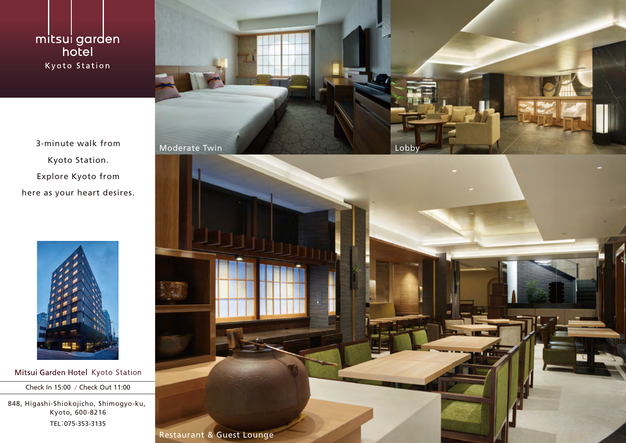mitsui garden hotel Kyoto Station

Kyoto Station. Explore Kyoto from here as your heart desires.



Mitsui Garden Hotel Kyoto Station

Check In 15:00 / Check Out 11:00

848, Higashi-Shiokojicho, Shimogyo-ku, Kyoto, 600-8216 TEL:075-353-3135



Restaurant & Guest Lounge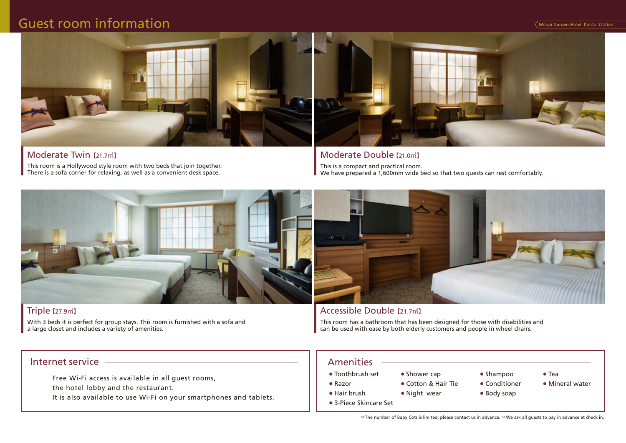Mitsui Garden Hotel Kyoto Station

# Guest room information



This room is a Hollywood style room with two beds that join together. There is a sofa corner for relaxing, as well as a convenient desk space. Moderate Twin 【21.7㎡】



This is a compact and practical room. We have prepared a 1,600mm wide bed so that two quests can rest comfortably. Moderate Double【21.0㎡】



### Triple【27.9㎡】

With 3 beds it is perfect for group stays. This room is furnished with a sofa and a large closet and includes a variety of amenities.

### Internet service Amenities

Free Wi-Fi access is available in all guest rooms, the hotel lobby and the restaurant.

It is also available to use Wi-Fi on your smartphones and tablets.



### Accessible Double 【21.7㎡】

This room has a bathroom that has been designed for those with disabilities and can be used with ease by both elderly customers and people in wheel chairs.

- Toothbrush set ● Razor ● Shower cap
	- Cotton & Hair Tie
- Hair brush ● Night wear
- 3-Piece Skincare Set
- Shampoo
- Tea
- Conditioner
- 
- Mineral water
- Body soap
- 
- 
- 
- \*The number of Baby Cots is limited, please contact us in advance. \*We ask all guests to pay in advance at check in.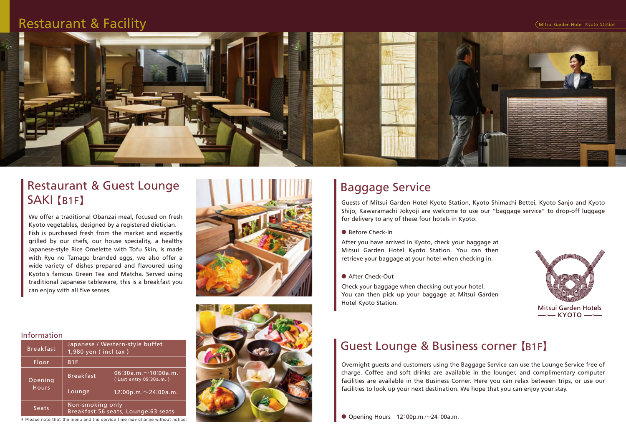Mitsui Garden Hotel Kyoto Station

### Restaurant & Facility



# Restaurant & Guest Lounge SAKI 【B1F】

We offer a traditional Obanzai meal, focused on fresh Kyoto vegetables, designed by a registered dietician. Fish is purchased fresh from the market and expertly grilled by our chefs, our house speciality, a healthy Japanese-style Rice Omelette with Tofu Skin, is made with Ryū no Tamago branded eggs, we also offer a wide variety of dishes prepared and flavoured using Kyoto's famous Green Tea and Matcha. Served using traditional Japanese tableware, this is a breakfast you can enjoy with all five senses.





# Baggage Service

Guests of Mitsui Garden Hotel Kyoto Station, Kyoto Shimachi Bettei, Kyoto Sanjo and Kyoto Shijo, Kawaramachi Jokyoji are welcome to use our "baggage service" to drop-off luggage for delivery to any of these four hotels in Kyoto.

● Before Check-In

After you have arrived in Kyoto, check your baggage at Mitsui Garden Hotel Kyoto Station. You can then retrieve your baggage at your hotel when checking in.

● After Check-Out

Check your baggage when checking out your hotel. You can then pick up your baggage at Mitsui Garden Hotel Kyoto Station.



Mitsui Garden Hotels  $\longrightarrow$  KYOTO $\longrightarrow$ 

## Guest Lounge & Business corner 【B1F】

Overnight guests and customers using the Baggage Service can use the Lounge Service free of charge. Coffee and soft drinks are available in the lounger, and complimentary computer facilities are available in the Business Corner. Here you can relax between trips, or use our facilities to look up your next destination. We hope that you can enjoy your stay.

 $\bullet$  Opening Hours 12:00p.m. $\sim$ 24:00a.m.

#### Information

| <b>Breakfast</b>        | Japanese / Western-style buffet<br>$1,980$ yen (incl tax) |                                                      |
|-------------------------|-----------------------------------------------------------|------------------------------------------------------|
| Floor                   | B <sub>1F</sub>                                           |                                                      |
| Opening<br><b>Hours</b> | <b>Breakfast</b>                                          | $06:30a.m. \sim 10:00a.m.$<br>(Last entry 09:30a.m.) |
|                         | Lounge                                                    | $12:00p.m. \sim 24:00a.m.$                           |
| Seats                   | Non-smoking only<br>Breakfast:56 seats, Lounge:63 seats   |                                                      |

\* Please note that the menu and the service time may change without notice.